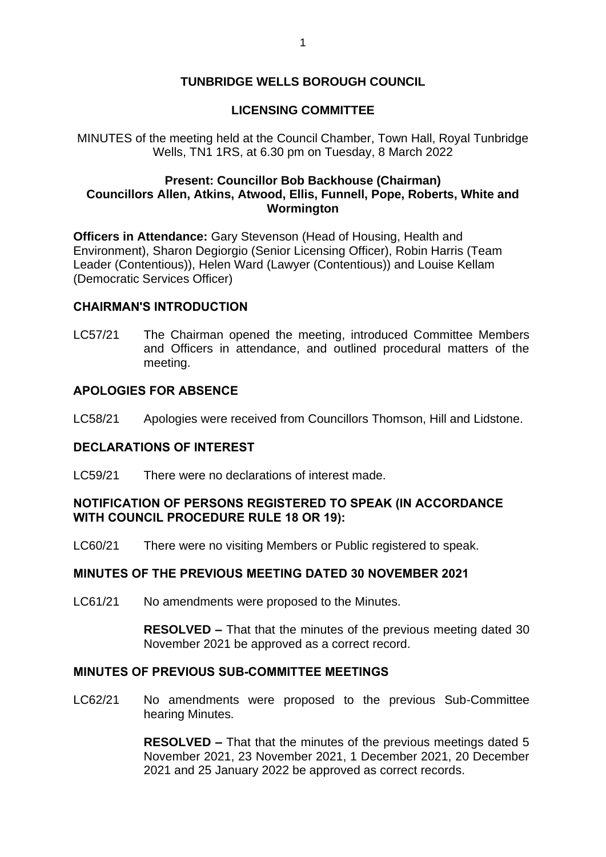# **TUNBRIDGE WELLS BOROUGH COUNCIL**

## **LICENSING COMMITTEE**

MINUTES of the meeting held at the Council Chamber, Town Hall, Royal Tunbridge Wells, TN1 1RS, at 6.30 pm on Tuesday, 8 March 2022

### **Present: Councillor Bob Backhouse (Chairman) Councillors Allen, Atkins, Atwood, Ellis, Funnell, Pope, Roberts, White and Wormington**

**Officers in Attendance:** Gary Stevenson (Head of Housing, Health and Environment), Sharon Degiorgio (Senior Licensing Officer), Robin Harris (Team Leader (Contentious)), Helen Ward (Lawyer (Contentious)) and Louise Kellam (Democratic Services Officer)

#### **CHAIRMAN'S INTRODUCTION**

LC57/21 The Chairman opened the meeting, introduced Committee Members and Officers in attendance, and outlined procedural matters of the meeting.

#### **APOLOGIES FOR ABSENCE**

LC58/21 Apologies were received from Councillors Thomson, Hill and Lidstone.

#### **DECLARATIONS OF INTEREST**

LC59/21 There were no declarations of interest made.

### **NOTIFICATION OF PERSONS REGISTERED TO SPEAK (IN ACCORDANCE WITH COUNCIL PROCEDURE RULE 18 OR 19):**

LC60/21 There were no visiting Members or Public registered to speak.

### **MINUTES OF THE PREVIOUS MEETING DATED 30 NOVEMBER 2021**

LC61/21 No amendments were proposed to the Minutes.

**RESOLVED –** That that the minutes of the previous meeting dated 30 November 2021 be approved as a correct record.

#### **MINUTES OF PREVIOUS SUB-COMMITTEE MEETINGS**

LC62/21 No amendments were proposed to the previous Sub-Committee hearing Minutes.

> **RESOLVED –** That that the minutes of the previous meetings dated 5 November 2021, 23 November 2021, 1 December 2021, 20 December 2021 and 25 January 2022 be approved as correct records.